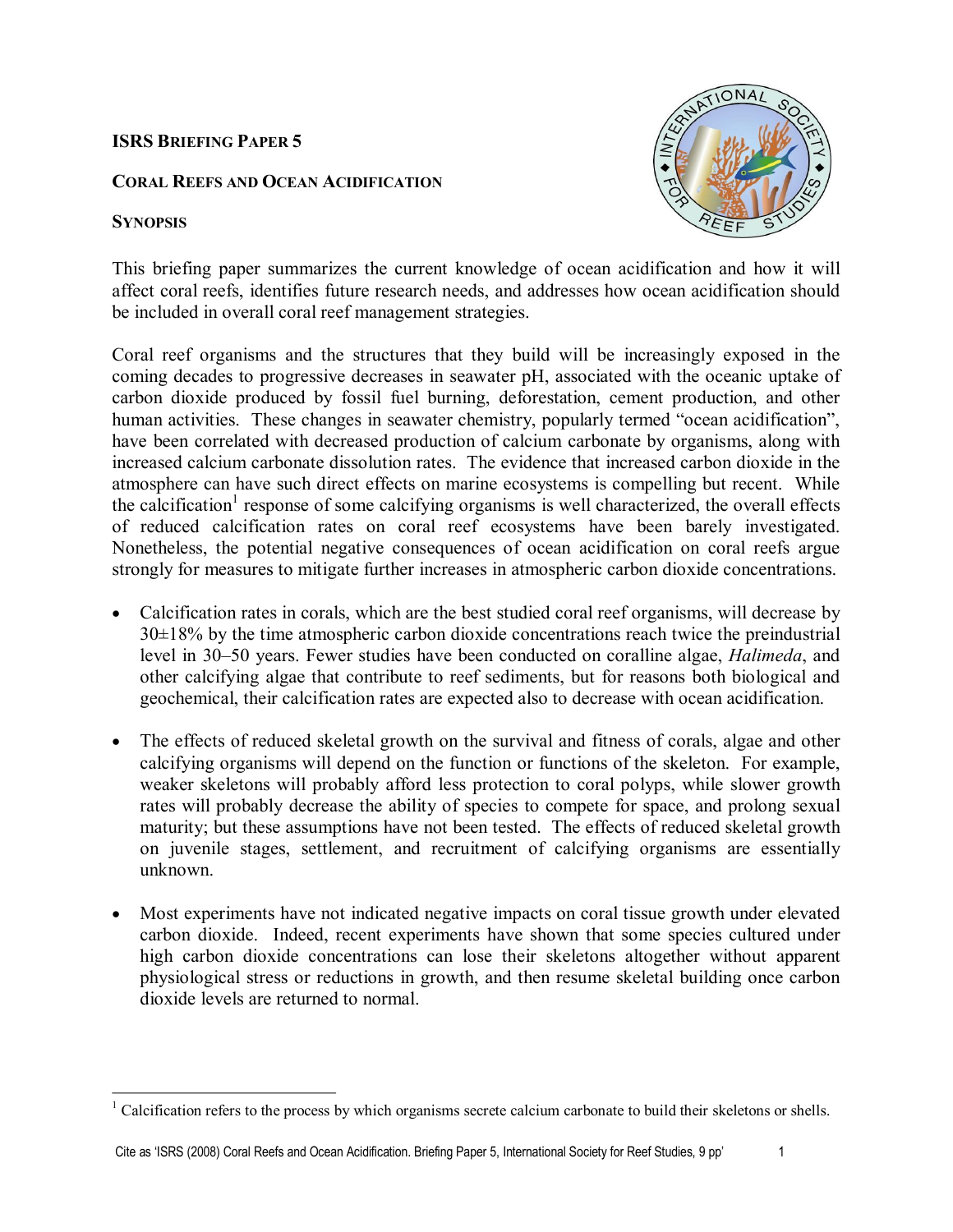# **ISRS BRIEFING PAPER 5**

# **CORAL REEFS AND OCEAN ACIDIFICATION**

# **SYNOPSIS**



This briefing paper summarizes the current knowledge of ocean acidification and how it will affect coral reefs, identifies future research needs, and addresses how ocean acidification should be included in overall coral reef management strategies.

Coral reef organisms and the structures that they build will be increasingly exposed in the coming decades to progressive decreases in seawater pH, associated with the oceanic uptake of carbon dioxide produced by fossil fuel burning, deforestation, cement production, and other human activities. These changes in seawater chemistry, popularly termed "ocean acidification", have been correlated with decreased production of calcium carbonate by organisms, along with increased calcium carbonate dissolution rates. The evidence that increased carbon dioxide in the atmosphere can have such direct effects on marine ecosystems is compelling but recent. While the calcification<sup>1</sup> response of some calcifying organisms is well characterized, the overall effects of reduced calcification rates on coral reef ecosystems have been barely investigated. Nonetheless, the potential negative consequences of ocean acidification on coral reefs argue strongly for measures to mitigate further increases in atmospheric carbon dioxide concentrations.

- · Calcification rates in corals, which are the best studied coral reef organisms, will decrease by 30±18% by the time atmospheric carbon dioxide concentrations reach twice the preindustrial level in 30–50 years. Fewer studies have been conducted on coralline algae, *Halimeda*, and other calcifying algae that contribute to reef sediments, but for reasons both biological and geochemical, their calcification rates are expected also to decrease with ocean acidification.
- The effects of reduced skeletal growth on the survival and fitness of corals, algae and other calcifying organisms will depend on the function or functions of the skeleton. For example, weaker skeletons will probably afford less protection to coral polyps, while slower growth rates will probably decrease the ability of species to compete for space, and prolong sexual maturity; but these assumptions have not been tested. The effects of reduced skeletal growth on juvenile stages, settlement, and recruitment of calcifying organisms are essentially unknown.
- Most experiments have not indicated negative impacts on coral tissue growth under elevated carbon dioxide. Indeed, recent experiments have shown that some species cultured under high carbon dioxide concentrations can lose their skeletons altogether without apparent physiological stress or reductions in growth, and then resume skeletal building once carbon dioxide levels are returned to normal.

<sup>&</sup>lt;sup>1</sup> Calcification refers to the process by which organisms secrete calcium carbonate to build their skeletons or shells.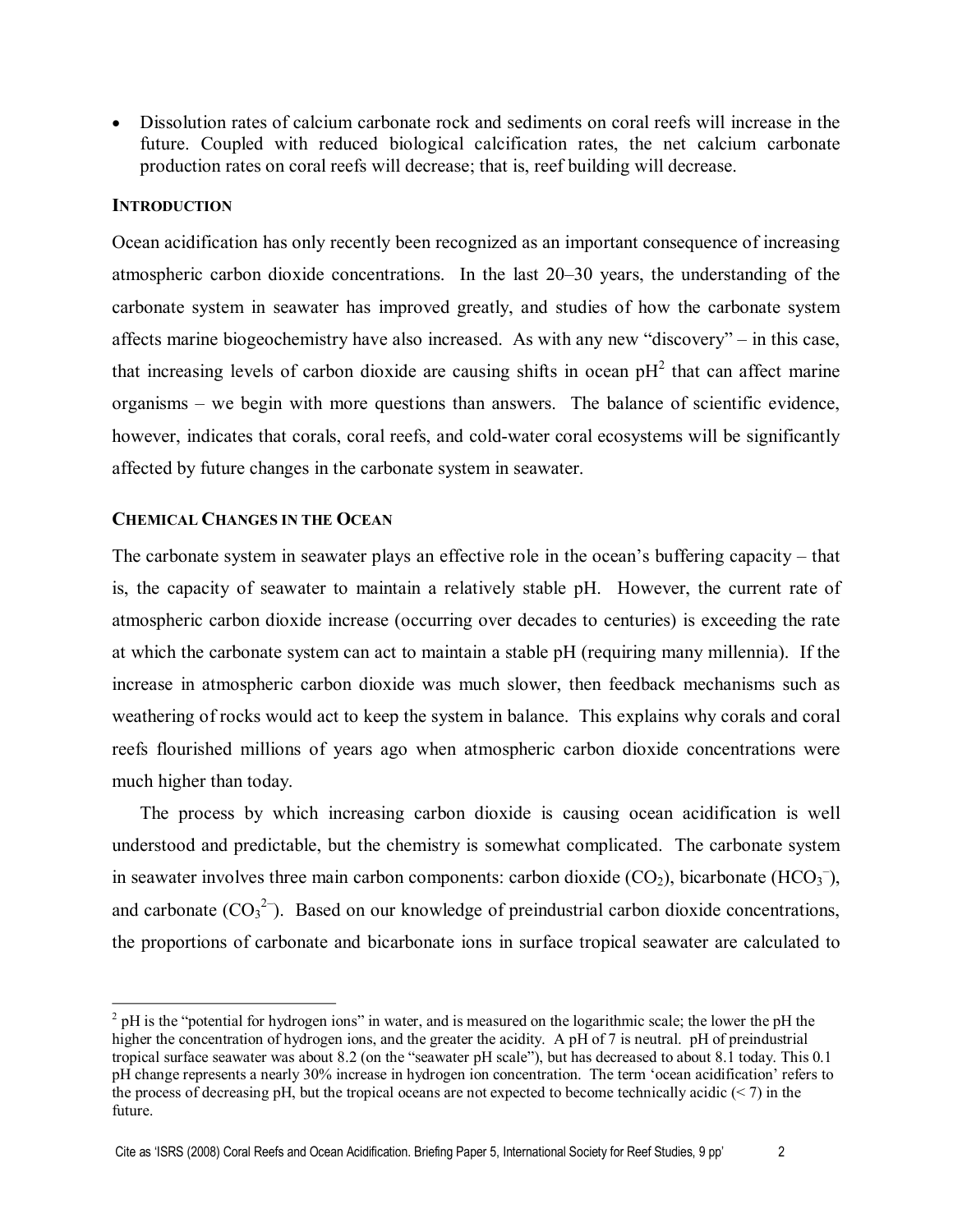· Dissolution rates of calcium carbonate rock and sediments on coral reefs will increase in the future. Coupled with reduced biological calcification rates, the net calcium carbonate production rates on coral reefs will decrease; that is, reef building will decrease.

## **INTRODUCTION**

Ocean acidification has only recently been recognized as an important consequence of increasing atmospheric carbon dioxide concentrations. In the last 20–30 years, the understanding of the carbonate system in seawater has improved greatly, and studies of how the carbonate system affects marine biogeochemistry have also increased. As with any new "discovery" – in this case, that increasing levels of carbon dioxide are causing shifts in ocean  $pH<sup>2</sup>$  that can affect marine organisms – we begin with more questions than answers. The balance of scientific evidence, however, indicates that corals, coral reefs, and cold-water coral ecosystems will be significantly affected by future changes in the carbonate system in seawater.

### **CHEMICAL CHANGES IN THE OCEAN**

The carbonate system in seawater plays an effective role in the ocean's buffering capacity – that is, the capacity of seawater to maintain a relatively stable pH. However, the current rate of atmospheric carbon dioxide increase (occurring over decades to centuries) is exceeding the rate at which the carbonate system can act to maintain a stable pH (requiring many millennia). If the increase in atmospheric carbon dioxide was much slower, then feedback mechanisms such as weathering of rocks would act to keep the system in balance. This explains why corals and coral reefs flourished millions of years ago when atmospheric carbon dioxide concentrations were much higher than today.

The process by which increasing carbon dioxide is causing ocean acidification is well understood and predictable, but the chemistry is somewhat complicated. The carbonate system in seawater involves three main carbon components: carbon dioxide  $(CO_2)$ , bicarbonate  $(HCO_3^-)$ , and carbonate  $(CO_3^2)$ . Based on our knowledge of preindustrial carbon dioxide concentrations, the proportions of carbonate and bicarbonate ions in surface tropical seawater are calculated to

 $^{2}$  pH is the "potential for hydrogen ions" in water, and is measured on the logarithmic scale; the lower the pH the higher the concentration of hydrogen ions, and the greater the acidity. A pH of 7 is neutral. pH of preindustrial tropical surface seawater was about 8.2 (on the "seawater pH scale"), but has decreased to about 8.1 today. This 0.1 pH change represents a nearly 30% increase in hydrogen ion concentration. The term 'ocean acidification' refers to the process of decreasing pH, but the tropical oceans are not expected to become technically acidic  $(< 7$ ) in the future.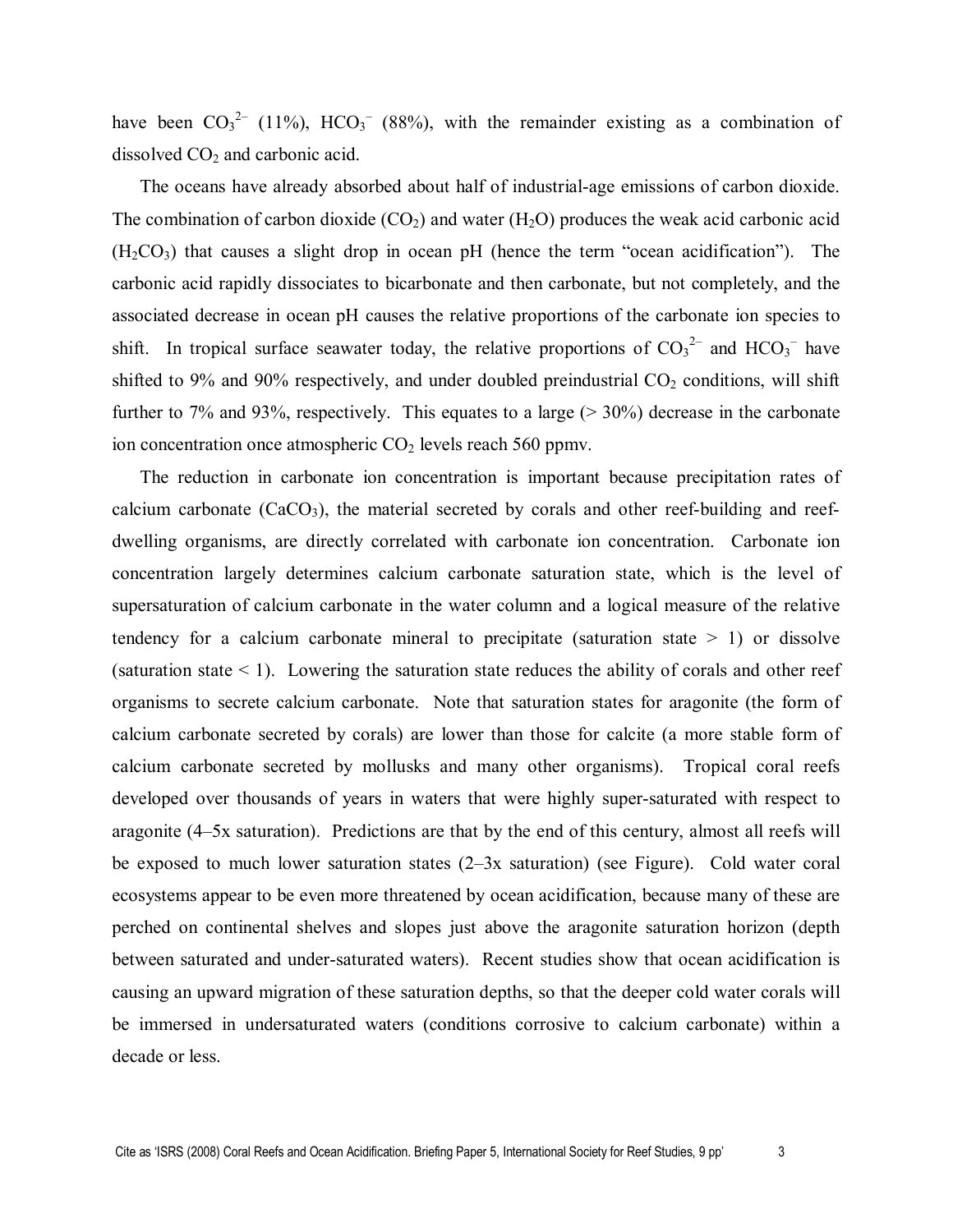have been  $CO_3^2$  (11%),  $HCO_3^-$  (88%), with the remainder existing as a combination of dissolved  $CO<sub>2</sub>$  and carbonic acid.

The oceans have already absorbed about half of industrial-age emissions of carbon dioxide. The combination of carbon dioxide  $(CO_2)$  and water  $(H_2O)$  produces the weak acid carbonic acid  $(H<sub>2</sub>CO<sub>3</sub>)$  that causes a slight drop in ocean pH (hence the term "ocean acidification"). The carbonic acid rapidly dissociates to bicarbonate and then carbonate, but not completely, and the associated decrease in ocean pH causes the relative proportions of the carbonate ion species to shift. In tropical surface seawater today, the relative proportions of  $CO<sub>3</sub><sup>2</sup>$  and  $HCO<sub>3</sub><sup>-</sup>$  have shifted to 9% and 90% respectively, and under doubled preindustrial  $CO<sub>2</sub>$  conditions, will shift further to 7% and 93%, respectively. This equates to a large  $(>30\%)$  decrease in the carbonate ion concentration once atmospheric  $CO<sub>2</sub>$  levels reach 560 ppmv.

The reduction in carbonate ion concentration is important because precipitation rates of calcium carbonate  $(CaCO<sub>3</sub>)$ , the material secreted by corals and other reef-building and reefdwelling organisms, are directly correlated with carbonate ion concentration. Carbonate ion concentration largely determines calcium carbonate saturation state, which is the level of supersaturation of calcium carbonate in the water column and a logical measure of the relative tendency for a calcium carbonate mineral to precipitate (saturation state  $> 1$ ) or dissolve (saturation state  $\leq 1$ ). Lowering the saturation state reduces the ability of corals and other reef organisms to secrete calcium carbonate. Note that saturation states for aragonite (the form of calcium carbonate secreted by corals) are lower than those for calcite (a more stable form of calcium carbonate secreted by mollusks and many other organisms). Tropical coral reefs developed over thousands of years in waters that were highly super-saturated with respect to aragonite (4–5x saturation). Predictions are that by the end of this century, almost all reefs will be exposed to much lower saturation states (2–3x saturation) (see Figure). Cold water coral ecosystems appear to be even more threatened by ocean acidification, because many of these are perched on continental shelves and slopes just above the aragonite saturation horizon (depth between saturated and under-saturated waters). Recent studies show that ocean acidification is causing an upward migration of these saturation depths, so that the deeper cold water corals will be immersed in undersaturated waters (conditions corrosive to calcium carbonate) within a decade or less.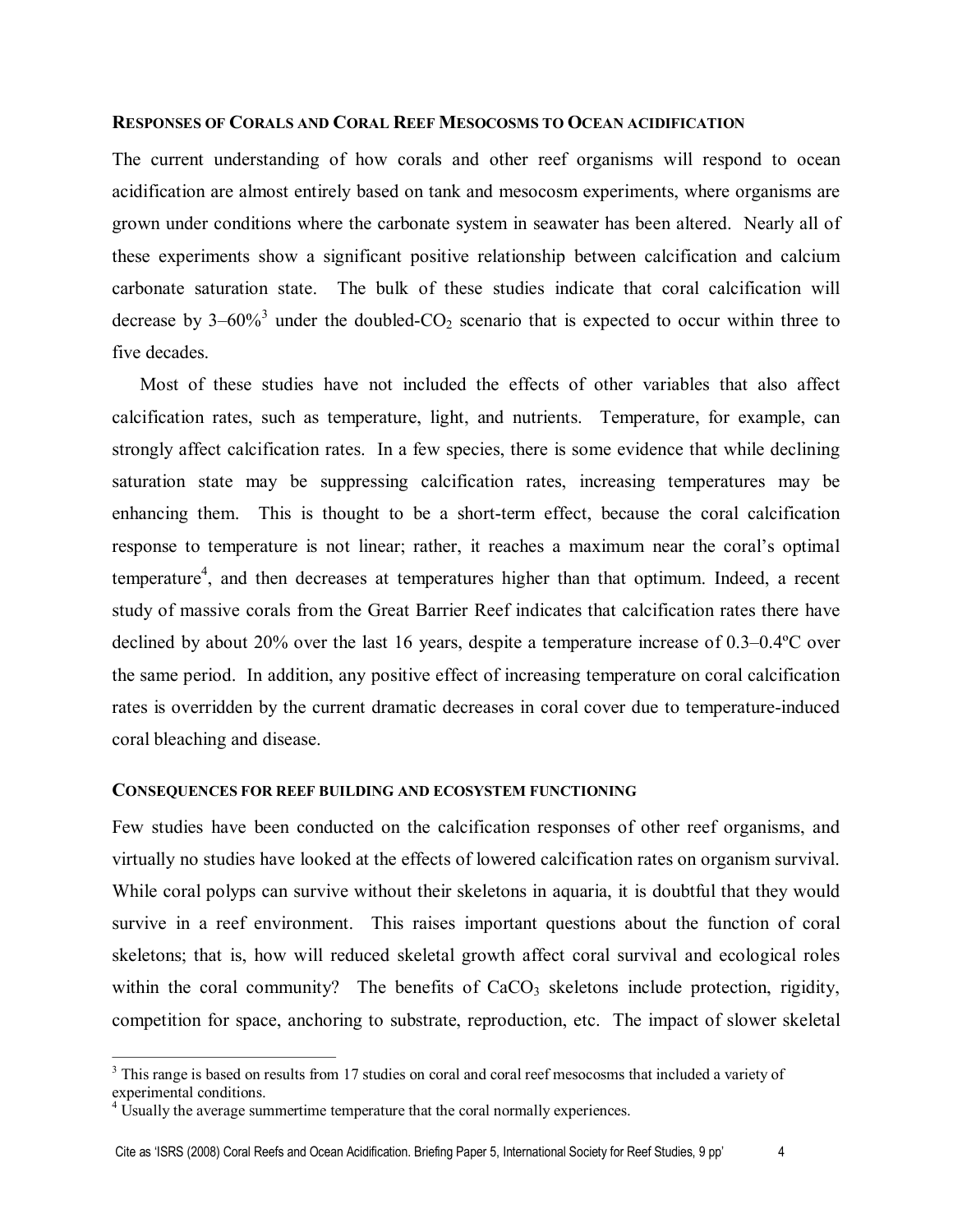#### **RESPONSES OF CORALS AND CORAL REEF MESOCOSMS TO OCEAN ACIDIFICATION**

The current understanding of how corals and other reef organisms will respond to ocean acidification are almost entirely based on tank and mesocosm experiments, where organisms are grown under conditions where the carbonate system in seawater has been altered. Nearly all of these experiments show a significant positive relationship between calcification and calcium carbonate saturation state. The bulk of these studies indicate that coral calcification will decrease by  $3-60\%$ <sup>3</sup> under the doubled-CO<sub>2</sub> scenario that is expected to occur within three to five decades.

Most of these studies have not included the effects of other variables that also affect calcification rates, such as temperature, light, and nutrients. Temperature, for example, can strongly affect calcification rates. In a few species, there is some evidence that while declining saturation state may be suppressing calcification rates, increasing temperatures may be enhancing them. This is thought to be a short-term effect, because the coral calcification response to temperature is not linear; rather, it reaches a maximum near the coral's optimal temperature<sup>4</sup>, and then decreases at temperatures higher than that optimum. Indeed, a recent study of massive corals from the Great Barrier Reef indicates that calcification rates there have declined by about 20% over the last 16 years, despite a temperature increase of 0.3–0.4ºC over the same period. In addition, any positive effect of increasing temperature on coral calcification rates is overridden by the current dramatic decreases in coral cover due to temperature-induced coral bleaching and disease.

### **CONSEQUENCES FOR REEF BUILDING AND ECOSYSTEM FUNCTIONING**

Few studies have been conducted on the calcification responses of other reef organisms, and virtually no studies have looked at the effects of lowered calcification rates on organism survival. While coral polyps can survive without their skeletons in aquaria, it is doubtful that they would survive in a reef environment. This raises important questions about the function of coral skeletons; that is, how will reduced skeletal growth affect coral survival and ecological roles within the coral community? The benefits of  $CaCO<sub>3</sub>$  skeletons include protection, rigidity, competition for space, anchoring to substrate, reproduction, etc. The impact of slower skeletal

<sup>&</sup>lt;sup>3</sup> This range is based on results from 17 studies on coral and coral reef mesocosms that included a variety of experimental conditions. <sup>4</sup> Usually the average summertime temperature that the coral normally experiences.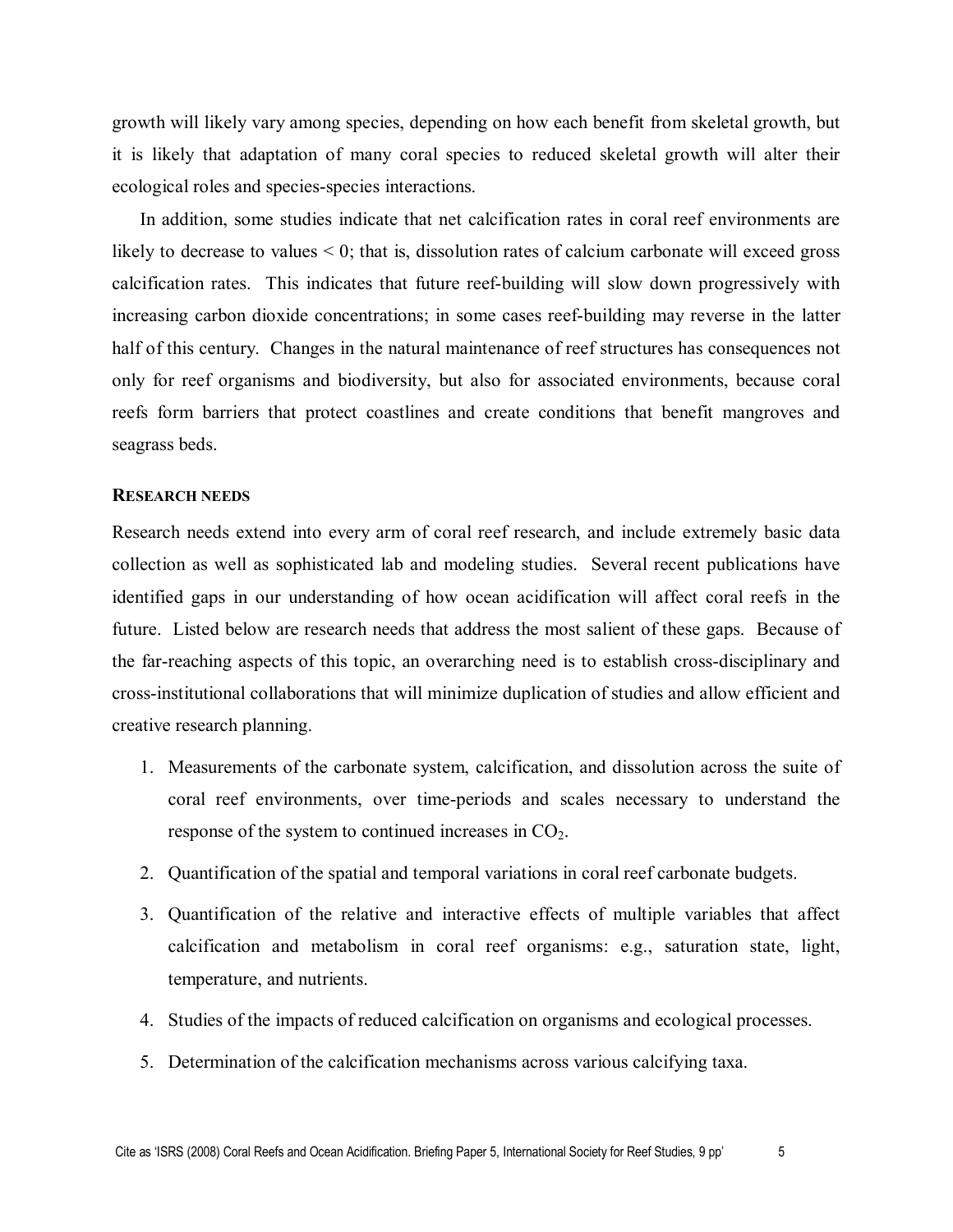growth will likely vary among species, depending on how each benefit from skeletal growth, but it is likely that adaptation of many coral species to reduced skeletal growth will alter their ecological roles and species-species interactions.

In addition, some studies indicate that net calcification rates in coral reef environments are likely to decrease to values < 0; that is, dissolution rates of calcium carbonate will exceed gross calcification rates. This indicates that future reef-building will slow down progressively with increasing carbon dioxide concentrations; in some cases reef-building may reverse in the latter half of this century. Changes in the natural maintenance of reef structures has consequences not only for reef organisms and biodiversity, but also for associated environments, because coral reefs form barriers that protect coastlines and create conditions that benefit mangroves and seagrass beds.

#### **RESEARCH NEEDS**

Research needs extend into every arm of coral reef research, and include extremely basic data collection as well as sophisticated lab and modeling studies. Several recent publications have identified gaps in our understanding of how ocean acidification will affect coral reefs in the future. Listed below are research needs that address the most salient of these gaps. Because of the far-reaching aspects of this topic, an overarching need is to establish cross-disciplinary and crossinstitutional collaborations that will minimize duplication of studies and allow efficient and creative research planning.

- 1. Measurements of the carbonate system, calcification, and dissolution across the suite of coral reef environments, over time-periods and scales necessary to understand the response of the system to continued increases in  $CO<sub>2</sub>$ .
- 2. Quantification of the spatial and temporal variations in coral reef carbonate budgets.
- 3. Quantification of the relative and interactive effects of multiple variables that affect calcification and metabolism in coral reef organisms: e.g., saturation state, light, temperature, and nutrients.
- 4. Studies of the impacts of reduced calcification on organisms and ecological processes.
- 5. Determination of the calcification mechanisms across various calcifying taxa.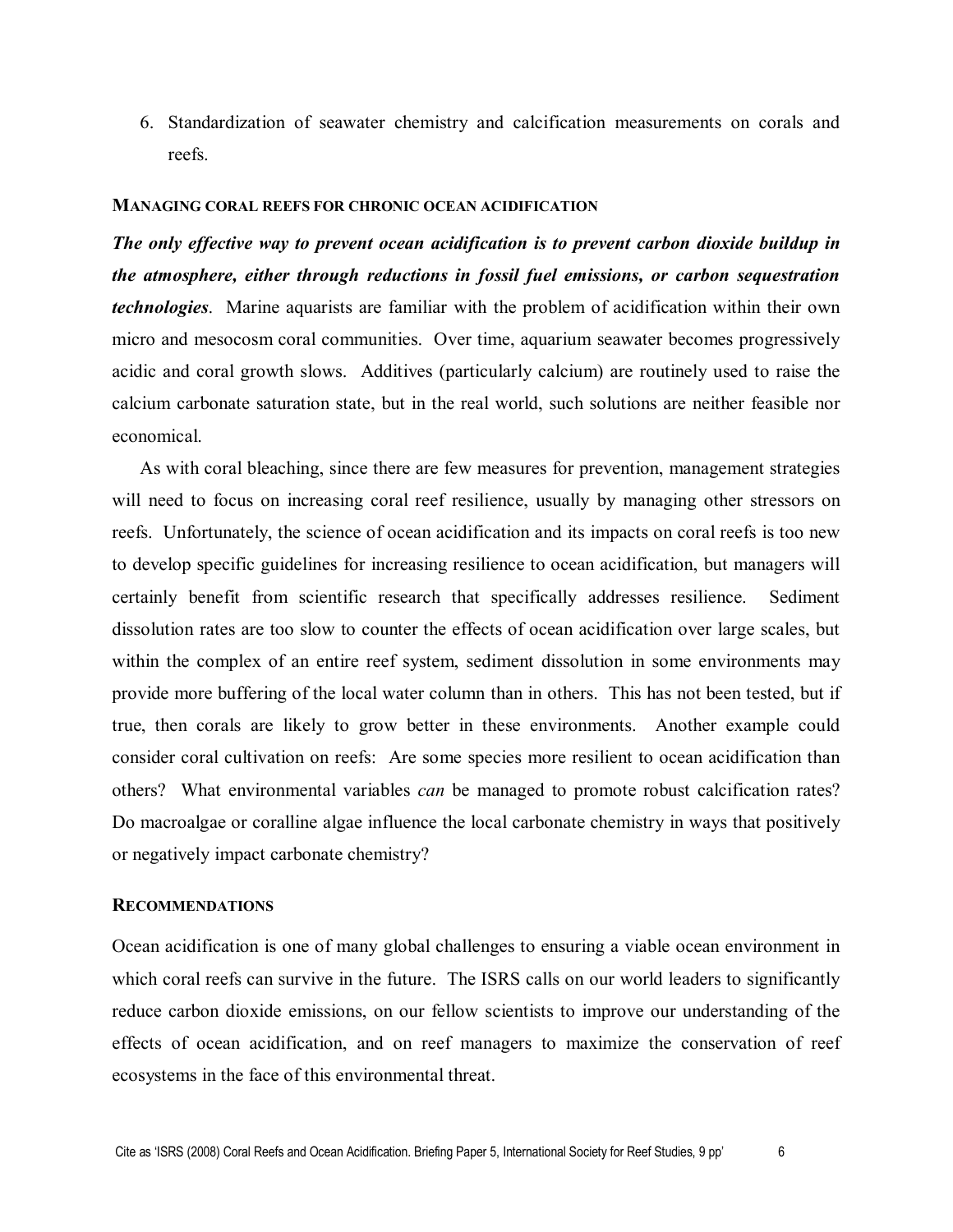6. Standardization of seawater chemistry and calcification measurements on corals and reefs.

### **MANAGING CORAL REEFS FOR CHRONIC OCEAN ACIDIFICATION**

*The only effective way to prevent ocean acidification is to prevent carbon dioxide buildup in the atmosphere, either through reductions in fossil fuel emissions, or carbon sequestration technologies*. Marine aquarists are familiar with the problem of acidification within their own micro and mesocosm coral communities. Over time, aquarium seawater becomes progressively acidic and coral growth slows. Additives (particularly calcium) are routinely used to raise the calcium carbonate saturation state, but in the real world, such solutions are neither feasible nor economical.

As with coral bleaching, since there are few measures for prevention, management strategies will need to focus on increasing coral reef resilience, usually by managing other stressors on reefs. Unfortunately, the science of ocean acidification and its impacts on coral reefs is too new to develop specific guidelines for increasing resilience to ocean acidification, but managers will certainly benefit from scientific research that specifically addresses resilience. Sediment dissolution rates are too slow to counter the effects of ocean acidification over large scales, but within the complex of an entire reef system, sediment dissolution in some environments may provide more buffering of the local water column than in others. This has not been tested, but if true, then corals are likely to grow better in these environments. Another example could consider coral cultivation on reefs: Are some species more resilient to ocean acidification than others? What environmental variables *can* be managed to promote robust calcification rates? Do macroalgae or coralline algae influence the local carbonate chemistry in ways that positively or negatively impact carbonate chemistry?

#### **RECOMMENDATIONS**

Ocean acidification is one of many global challenges to ensuring a viable ocean environment in which coral reefs can survive in the future. The ISRS calls on our world leaders to significantly reduce carbon dioxide emissions, on our fellow scientists to improve our understanding of the effects of ocean acidification, and on reef managers to maximize the conservation of reef ecosystems in the face of this environmental threat.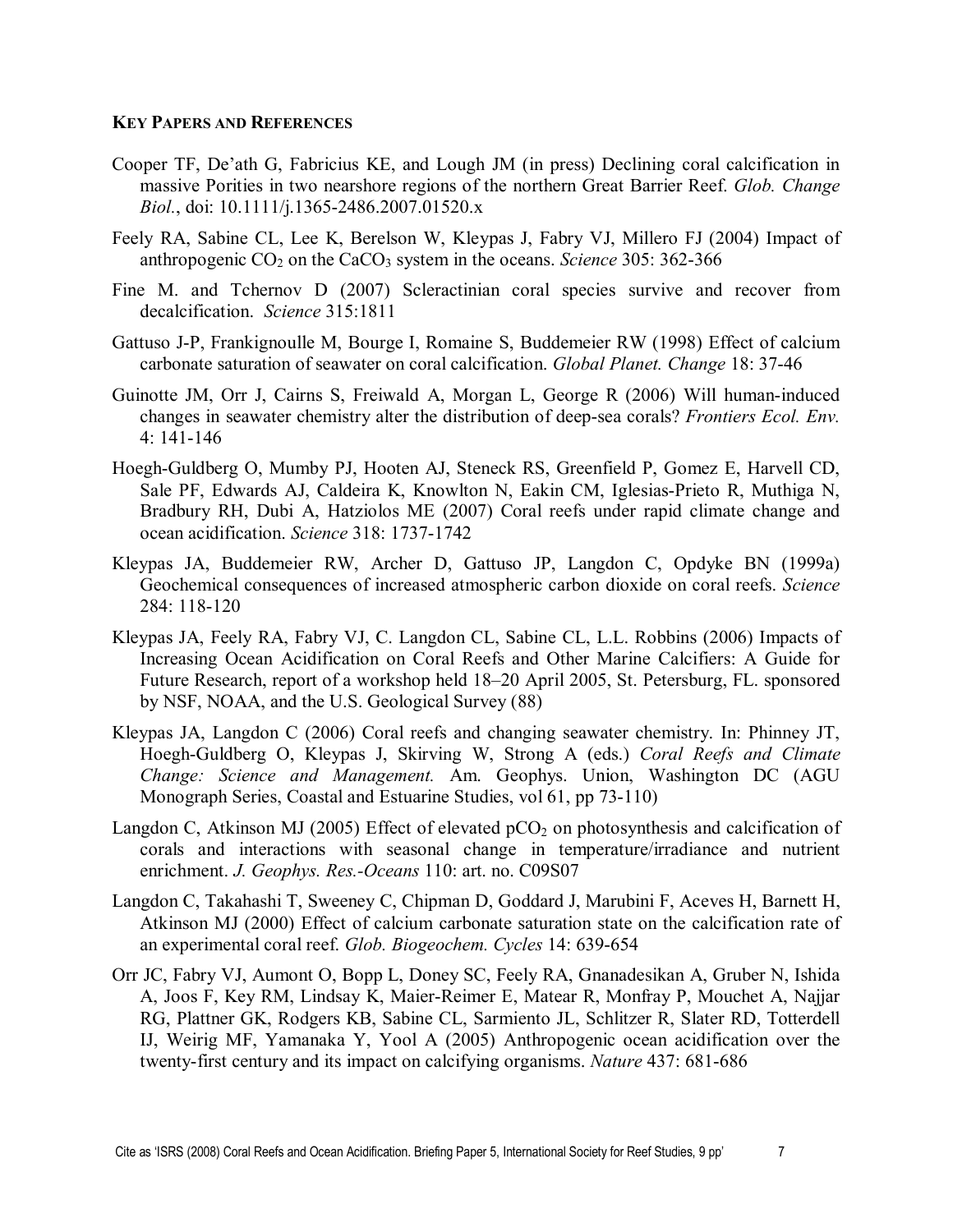## **KEY PAPERS AND REFERENCES**

- Cooper TF, De'ath G, Fabricius KE, and Lough JM (in press) Declining coral calcification in massive Porities in two nearshore regions of the northern Great Barrier Reef. *Glob. Change Biol.*, doi: 10.1111/j.1365-2486.2007.01520.x
- Feely RA, Sabine CL, Lee K, Berelson W, Kleypas J, Fabry VJ, Millero FJ (2004) Impact of anthropogenic  $CO_2$  on the CaCO<sub>3</sub> system in the oceans. *Science* 305: 362-366
- Fine M. and Tchernov D (2007) Scleractinian coral species survive and recover from decalcification. *Science* 315:1811
- Gattuso J-P, Frankignoulle M, Bourge I, Romaine S, Buddemeier RW (1998) Effect of calcium carbonate saturation of seawater on coral calcification. *Global Planet. Change* 18: 3746
- Guinotte JM, Orr J, Cairns S, Freiwald A, Morgan L, George R (2006) Will human-induced changes in seawater chemistry alter the distribution of deepsea corals? *Frontiers Ecol. Env.*  $4: 141 - 146$
- Hoegh-Guldberg O, Mumby PJ, Hooten AJ, Steneck RS, Greenfield P, Gomez E, Harvell CD, Sale PF, Edwards AJ, Caldeira K, Knowlton N, Eakin CM, Iglesias-Prieto R, Muthiga N, Bradbury RH, Dubi A, Hatziolos ME (2007) Coral reefs under rapid climate change and ocean acidification. *Science* 318: 1737-1742
- Kleypas JA, Buddemeier RW, Archer D, Gattuso JP, Langdon C, Opdyke BN (1999a) Geochemical consequences of increased atmospheric carbon dioxide on coral reefs. *Science* 284: 118-120
- Kleypas JA, Feely RA, Fabry VJ, C. Langdon CL, Sabine CL, L.L. Robbins (2006) Impacts of Increasing Ocean Acidification on Coral Reefs and Other Marine Calcifiers: A Guide for Future Research, report of a workshop held 18–20 April 2005, St. Petersburg, FL. sponsored by NSF, NOAA, and the U.S. Geological Survey (88)
- Kleypas JA, Langdon C (2006) Coral reefs and changing seawater chemistry. In: Phinney JT, Hoegh-Guldberg O, Kleypas J, Skirving W, Strong A (eds.) *Coral Reefs and Climate Change: Science and Management.* Am. Geophys. Union, Washington DC (AGU Monograph Series, Coastal and Estuarine Studies, vol 61, pp 73-110)
- Langdon C, Atkinson MJ (2005) Effect of elevated  $pCO<sub>2</sub>$  on photosynthesis and calcification of corals and interactions with seasonal change in temperature/irradiance and nutrient enrichment. *J. Geophys. Res.-Oceans* 110: art. no. C09S07
- Langdon C, Takahashi T, Sweeney C, Chipman D, Goddard J, Marubini F, Aceves H, Barnett H, Atkinson MJ (2000) Effect of calcium carbonate saturation state on the calcification rate of an experimental coral reef. *Glob. Biogeochem. Cycles* 14: 639-654
- Orr JC, Fabry VJ, Aumont O, Bopp L, Doney SC, Feely RA, Gnanadesikan A, Gruber N, Ishida A, Joos F, Key RM, Lindsay K, Maier-Reimer E, Matear R, Monfray P, Mouchet A, Najjar RG, Plattner GK, Rodgers KB, Sabine CL, Sarmiento JL, Schlitzer R, Slater RD, Totterdell IJ, Weirig MF, Yamanaka Y, Yool A (2005) Anthropogenic ocean acidification over the twenty-first century and its impact on calcifying organisms. *Nature* 437: 681-686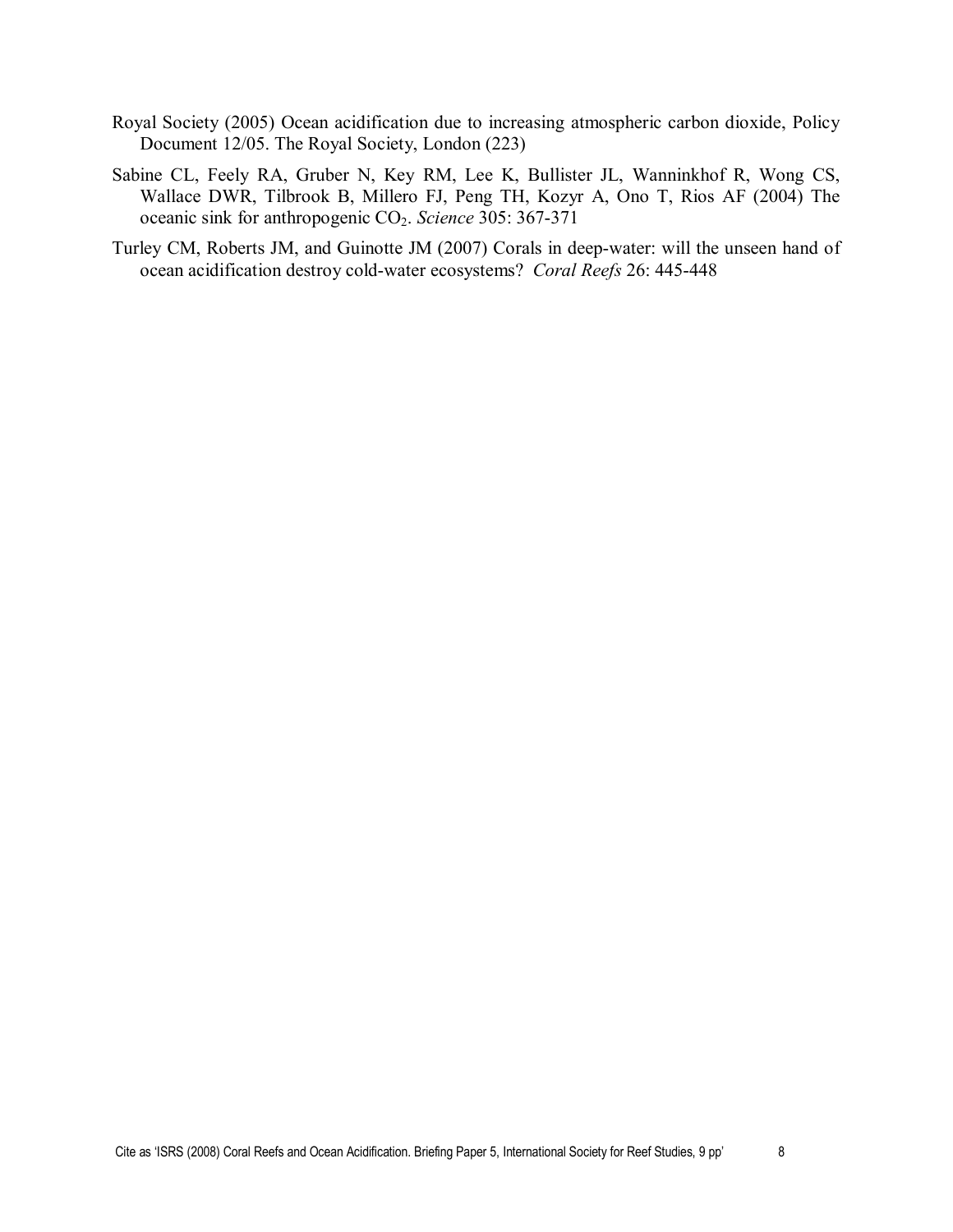- Royal Society (2005) Ocean acidification due to increasing atmospheric carbon dioxide, Policy Document 12/05. The Royal Society, London (223)
- Sabine CL, Feely RA, Gruber N, Key RM, Lee K, Bullister JL, Wanninkhof R, Wong CS, Wallace DWR, Tilbrook B, Millero FJ, Peng TH, Kozyr A, Ono T, Rios AF (2004) The oceanic sink for anthropogenic CO<sub>2</sub>. *Science* 305: 367-371
- Turley CM, Roberts JM, and Guinotte JM (2007) Corals in deep-water: will the unseen hand of ocean acidification destroy cold-water ecosystems? *Coral Reefs* 26: 445-448